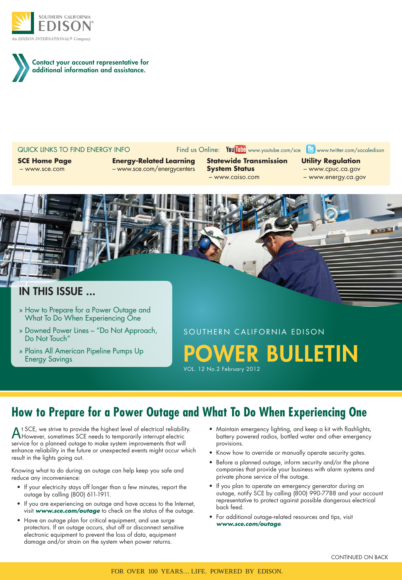

Contact your account representative for additional information and assistance.

QUICK LINKS TO FIND ENERGY INFO Find us Online: You Tube www.youtube.com/sce B www.twitter.com/socaledison

**SCE Home Page** – www.sce.com

**Energy-Related Learning** – www.sce.com/energycenters

**Statewide Transmission System Status** – www.caiso.com

**Utility Regulation**

- www.cpuc.ca.gov
- www.energy.ca.gov
- 



- » How to Prepare for a Power Outage and What To Do When Experiencing One
- » Downed Power Lines "Do Not Approach, Do Not Touch"
- » Plains All American Pipeline Pumps Up Energy Savings

SOUTHERN CALIFORNIA EDISON ER BULLETIN

VOL. 12 No.2 February 2012

# **How to Prepare for a Power Outage and What To Do When Experiencing One**

At SCE, we strive to provide the highest level of electrical reliability.<br>However, sometimes SCE needs to temporarily interrupt electric service for a planned outage to make system improvements that will enhance reliability in the future or unexpected events might occur which result in the lights going out.

Knowing what to do during an outage can help keep you safe and reduce any inconvenience:

- If your electricity stays off longer than a few minutes, report the outage by calling (800) 611-1911.
- If you are experiencing an outage and have access to the Internet, visit *www.sce.com/outage* to check on the status of the outage.
- Have an outage plan for critical equipment, and use surge protectors. If an outage occurs, shut off or disconnect sensitive electronic equipment to prevent the loss of data, equipment damage and/or strain on the system when power returns.
- Maintain emergency lighting, and keep a kit with flashlights, battery powered radios, bottled water and other emergency provisions.
- Know how to override or manually operate security gates.
- Before a planned outage, inform security and/or the phone companies that provide your business with alarm systems and private phone service of the outage.
- If you plan to operate an emergency generator during an outage, notify SCE by calling (800) 990-7788 and your account representative to protect against possible dangerous electrical back feed.
- For additional outage-related resources and tips, visit *www.sce.com/outage*.